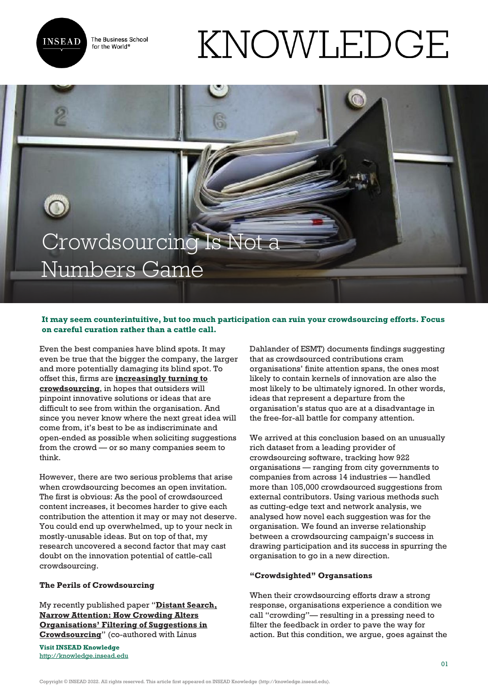

The Business School for the World<sup>®</sup>

# KNOWLEDGE

# Crowdsourcing Is Not a Numbers Game

# **It may seem counterintuitive, but too much participation can ruin your crowdsourcing efforts. Focus on careful curation rather than a cattle call.**

Even the best companies have blind spots. It may even be true that the bigger the company, the larger and more potentially damaging its blind spot. To offset this, firms are **[increasingly turning to](http://www.ideaconnection.com/blog/2015/04/key-trends-in-crowdsourcing/) [crowdsourcing](http://www.ideaconnection.com/blog/2015/04/key-trends-in-crowdsourcing/)**, in hopes that outsiders will pinpoint innovative solutions or ideas that are difficult to see from within the organisation. And since you never know where the next great idea will come from, it's best to be as indiscriminate and open-ended as possible when soliciting suggestions from the crowd — or so many companies seem to think.

However, there are two serious problems that arise when crowdsourcing becomes an open invitation. The first is obvious: As the pool of crowdsourced content increases, it becomes harder to give each contribution the attention it may or may not deserve. You could end up overwhelmed, up to your neck in mostly-unusable ideas. But on top of that, my research uncovered a second factor that may cast doubt on the innovation potential of cattle-call crowdsourcing.

## **The Perils of Crowdsourcing**

My recently published paper "**[Distant Search,](http://www.researchgate.net/publication/276182878_Distant_Search_Narrow_Attention_How_Crowding_Alters_Organizations%27_Filtering_of_User_Suggestions) [Narrow Attention: How Crowding Alters](http://www.researchgate.net/publication/276182878_Distant_Search_Narrow_Attention_How_Crowding_Alters_Organizations%27_Filtering_of_User_Suggestions) [Organisations' Filtering of Suggestions in](http://www.researchgate.net/publication/276182878_Distant_Search_Narrow_Attention_How_Crowding_Alters_Organizations%27_Filtering_of_User_Suggestions) [Crowdsourcing](http://www.researchgate.net/publication/276182878_Distant_Search_Narrow_Attention_How_Crowding_Alters_Organizations%27_Filtering_of_User_Suggestions)**" (co-authored with Linus

**Visit INSEAD Knowledge** <http://knowledge.insead.edu> Dahlander of ESMT) documents findings suggesting that as crowdsourced contributions cram organisations' finite attention spans, the ones most likely to contain kernels of innovation are also the most likely to be ultimately ignored. In other words, ideas that represent a departure from the organisation's status quo are at a disadvantage in the free-for-all battle for company attention.

We arrived at this conclusion based on an unusually rich dataset from a leading provider of crowdsourcing software, tracking how 922 organisations — ranging from city governments to companies from across 14 industries — handled more than 105,000 crowdsourced suggestions from external contributors. Using various methods such as cutting-edge text and network analysis, we analysed how novel each suggestion was for the organisation. We found an inverse relationship between a crowdsourcing campaign's success in drawing participation and its success in spurring the organisation to go in a new direction.

## **"Crowdsighted" Organsations**

When their crowdsourcing efforts draw a strong response, organisations experience a condition we call "crowding"— resulting in a pressing need to filter the feedback in order to pave the way for action. But this condition, we argue, goes against the

Copyright © INSEAD 2022. All rights reserved. This article first appeared on INSEAD Knowledge (http://knowledge.insead.edu).